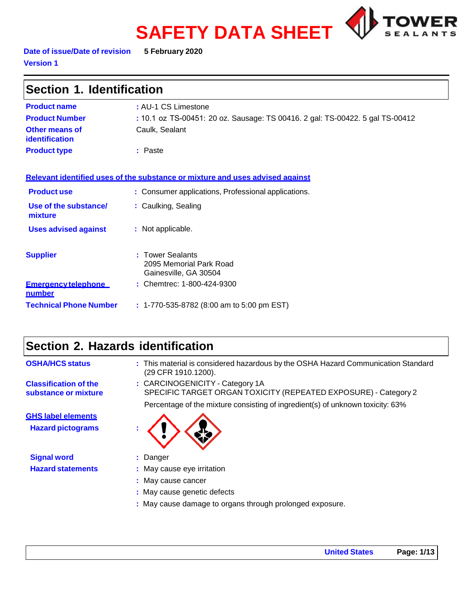# **SAFETY DATA SHEET**



**Date of issue/Date of revision 5 February 2020 Version 1**

| Section 1. Identification                   |                                                                               |  |  |
|---------------------------------------------|-------------------------------------------------------------------------------|--|--|
| <b>Product name</b>                         | : AU-1 CS Limestone                                                           |  |  |
| <b>Product Number</b>                       | : 10.1 oz TS-00451: 20 oz. Sausage: TS 00416. 2 gal: TS-00422. 5 gal TS-00412 |  |  |
| Other means of<br>identification            | Caulk, Sealant                                                                |  |  |
| <b>Product type</b>                         | : Paste                                                                       |  |  |
|                                             | Relevant identified uses of the substance or mixture and uses advised against |  |  |
| <b>Product use</b>                          | : Consumer applications, Professional applications.                           |  |  |
| Use of the substance/<br>mixture            | : Caulking, Sealing                                                           |  |  |
| <b>Uses advised against</b>                 | : Not applicable.                                                             |  |  |
| <b>Supplier</b>                             | <b>Tower Sealants</b><br>2095 Memorial Park Road<br>Gainesville, GA 30504     |  |  |
| <b>Emergency telephone</b><br><u>number</u> | : Chemtrec: 1-800-424-9300                                                    |  |  |
| <b>Technical Phone Number</b>               | : 1-770-535-8782 (8:00 am to 5:00 pm EST)                                     |  |  |

# **Section 2. Hazards identification**

| <b>OSHA/HCS status</b>                                | : This material is considered hazardous by the OSHA Hazard Communication Standard<br>(29 CFR 1910.1200). |
|-------------------------------------------------------|----------------------------------------------------------------------------------------------------------|
| <b>Classification of the</b><br>substance or mixture  | : CARCINOGENICITY - Category 1A<br>SPECIFIC TARGET ORGAN TOXICITY (REPEATED EXPOSURE) - Category 2       |
|                                                       | Percentage of the mixture consisting of ingredient(s) of unknown toxicity: 63%                           |
| <b>GHS label elements</b><br><b>Hazard pictograms</b> |                                                                                                          |
| <b>Signal word</b>                                    | : Danger                                                                                                 |
| <b>Hazard statements</b>                              | : May cause eye irritation                                                                               |
|                                                       | : May cause cancer                                                                                       |
|                                                       | : May cause genetic defects                                                                              |
|                                                       | : May cause damage to organs through prolonged exposure.                                                 |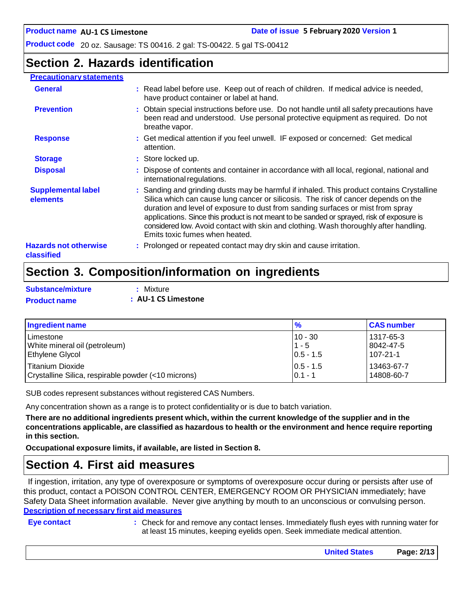### **Section 2. Hazards identification**

#### **Precautionary statements General :** Read label before use. Keep out of reach of children. If medical advice is needed, have product container or label at hand. **Prevention 1. Prevention 1. All instructions before use.** Do not handle until all safety precautions have been read and understood. Use personal protective equipment as required. Do not breathe vapor. **Response 1993 : Get medical attention if you feel unwell. IF exposed or concerned: Get medical** attention. **Storage 19.1 Store locked up. Disposal 19.1 : C** Dispose of contents and container in accordance with all local, regional, national and international regulations. **Supplemental label elements Hazards not otherwise classified :** Sanding and grinding dusts may be harmful if inhaled. This product contains Crystalline Silica which can cause lung cancer or silicosis. The risk of cancer depends on the duration and level of exposure to dust from sanding surfaces or mist from spray applications. Since this product is not meant to be sanded or sprayed, risk of exposure is considered low. Avoid contact with skin and clothing. Wash thoroughly after handling. Emits toxic fumes when heated. **:** Prolonged or repeated contact may dry skin and cause irritation.

# **Section 3. Composition/information on ingredients**

| <b>Substance/mixture</b> | : Mixture           |
|--------------------------|---------------------|
| <b>Product name</b>      | : AU-1 CS Limestone |

| Ingredient name                                     | $\frac{9}{6}$ | <b>CAS number</b> |
|-----------------------------------------------------|---------------|-------------------|
| l Limestone                                         | $10 - 30$     | 1317-65-3         |
| White mineral oil (petroleum)                       | $1 - 5$       | 8042-47-5         |
| <b>Ethylene Glycol</b>                              | $ 0.5 - 1.5 $ | 107-21-1          |
| Titanium Dioxide                                    | $10.5 - 1.5$  | 13463-67-7        |
| Crystalline Silica, respirable powder (<10 microns) | $0.1 - 1$     | 14808-60-7        |

SUB codes represent substances without registered CAS Numbers.

Any concentration shown as a range is to protect confidentiality or is due to batch variation.

There are no additional ingredients present which, within the current knowledge of the supplier and in the **concentrations applicable, are classified as hazardous to health or the environment and hence require reporting in this section.**

**Occupational exposure limits, if available, are listed in Section 8.**

### **Section 4. First aid measures**

If ingestion, irritation, any type of overexposure or symptoms of overexposure occur during or persists after use of this product, contact a POISON CONTROL CENTER, EMERGENCY ROOM OR PHYSICIAN immediately; have Safety Data Sheet information available. Never give anything by mouth to an unconscious or convulsing person. **Description of necessary first aid measures**

**Eye contact :** Check for and remove any contact lenses. Immediately flush eyes with running water for at least 15 minutes, keeping eyelids open. Seek immediate medical attention.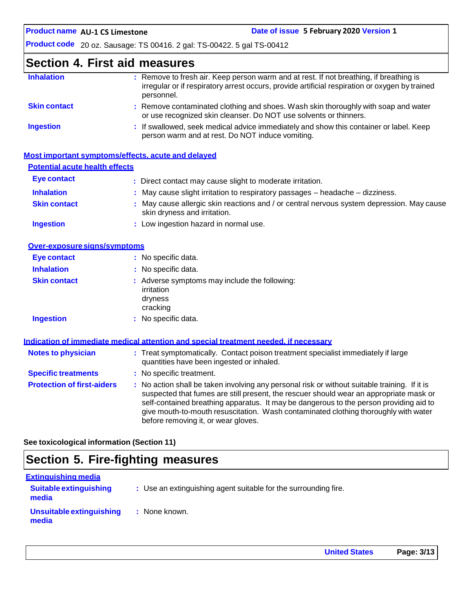### **Section 4. First aid measures**

| : Remove to fresh air. Keep person warm and at rest. If not breathing, if breathing is<br>irregular or if respiratory arrest occurs, provide artificial respiration or oxygen by trained<br>personnel. |
|--------------------------------------------------------------------------------------------------------------------------------------------------------------------------------------------------------|
| : Remove contaminated clothing and shoes. Wash skin thoroughly with soap and water<br>or use recognized skin cleanser. Do NOT use solvents or thinners.                                                |
| : If swallowed, seek medical advice immediately and show this container or label. Keep<br>person warm and at rest. Do NOT induce vomiting.                                                             |
|                                                                                                                                                                                                        |

|                                       | Most important symptoms/effects, acute and delayed                                                                        |
|---------------------------------------|---------------------------------------------------------------------------------------------------------------------------|
| <b>Potential acute health effects</b> |                                                                                                                           |
| Eye contact                           | : Direct contact may cause slight to moderate irritation.                                                                 |
| <b>Inhalation</b>                     | $\therefore$ May cause slight irritation to respiratory passages $-$ headache $-$ dizziness.                              |
| <b>Skin contact</b>                   | : May cause allergic skin reactions and / or central nervous system depression. May cause<br>skin dryness and irritation. |
| <b>Ingestion</b>                      | : Low ingestion hazard in normal use.                                                                                     |

| Over-exposure signs/symptoms |                                                                                    |  |  |
|------------------------------|------------------------------------------------------------------------------------|--|--|
| Eye contact                  | : No specific data.                                                                |  |  |
| <b>Inhalation</b>            | : No specific data.                                                                |  |  |
| <b>Skin contact</b>          | : Adverse symptoms may include the following:<br>irritation<br>dryness<br>cracking |  |  |
| <b>Ingestion</b>             | : No specific data.                                                                |  |  |

|                                   | Indication of immediate medical attention and special treatment needed, if necessary                                                                                                                                                                                                                                                                                                                            |
|-----------------------------------|-----------------------------------------------------------------------------------------------------------------------------------------------------------------------------------------------------------------------------------------------------------------------------------------------------------------------------------------------------------------------------------------------------------------|
| <b>Notes to physician</b>         | : Treat symptomatically. Contact poison treatment specialist immediately if large<br>quantities have been ingested or inhaled.                                                                                                                                                                                                                                                                                  |
| <b>Specific treatments</b>        | : No specific treatment.                                                                                                                                                                                                                                                                                                                                                                                        |
| <b>Protection of first-aiders</b> | : No action shall be taken involving any personal risk or without suitable training. If it is<br>suspected that fumes are still present, the rescuer should wear an appropriate mask or<br>self-contained breathing apparatus. It may be dangerous to the person providing aid to<br>give mouth-to-mouth resuscitation. Wash contaminated clothing thoroughly with water<br>before removing it, or wear gloves. |

**See toxicological information (Section 11)**

# **Section 5. Fire-fighting measures**

| <u>Extinguishing media</u>             |                                                                 |
|----------------------------------------|-----------------------------------------------------------------|
| <b>Suitable extinguishing</b><br>media | : Use an extinguishing agent suitable for the surrounding fire. |
| Unsuitable extinguishing<br>media      | : None known.                                                   |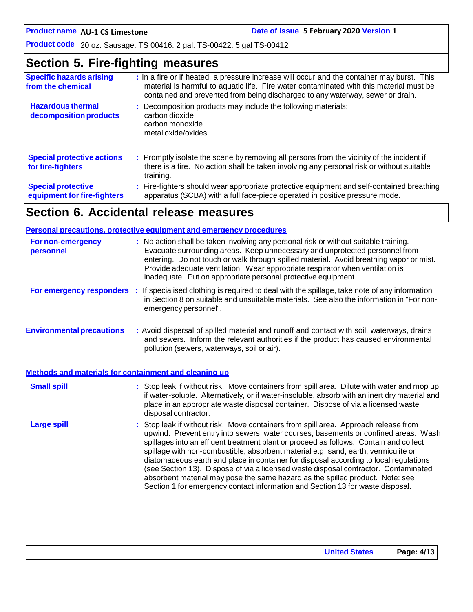**AU-1 CS Limestone Date of issue 5 February 2020 Version 1**

**Product code** 20 oz. Sausage: TS 00416. 2 gal: TS-00422. 5 gal TS-00412

### **Section 5. Fire-fighting measures**

| <b>Specific hazards arising</b><br>from the chemical     | : In a fire or if heated, a pressure increase will occur and the container may burst. This<br>material is harmful to aquatic life. Fire water contaminated with this material must be<br>contained and prevented from being discharged to any waterway, sewer or drain. |
|----------------------------------------------------------|-------------------------------------------------------------------------------------------------------------------------------------------------------------------------------------------------------------------------------------------------------------------------|
| <b>Hazardous thermal</b><br>decomposition products       | : Decomposition products may include the following materials:<br>carbon dioxide<br>carbon monoxide<br>metal oxide/oxides                                                                                                                                                |
| <b>Special protective actions</b><br>for fire-fighters   | : Promptly isolate the scene by removing all persons from the vicinity of the incident if<br>there is a fire. No action shall be taken involving any personal risk or without suitable<br>training.                                                                     |
| <b>Special protective</b><br>equipment for fire-fighters | : Fire-fighters should wear appropriate protective equipment and self-contained breathing<br>apparatus (SCBA) with a full face-piece operated in positive pressure mode.                                                                                                |

# **Section 6. Accidental release measures**

|                                                       | <b>Personal precautions, protective equipment and emergency procedures</b>                                                                                                                                                                                                                                                                                                                                                                                                                                                                                                                                                                                                                                   |
|-------------------------------------------------------|--------------------------------------------------------------------------------------------------------------------------------------------------------------------------------------------------------------------------------------------------------------------------------------------------------------------------------------------------------------------------------------------------------------------------------------------------------------------------------------------------------------------------------------------------------------------------------------------------------------------------------------------------------------------------------------------------------------|
| <b>For non-emergency</b><br>personnel                 | : No action shall be taken involving any personal risk or without suitable training.<br>Evacuate surrounding areas. Keep unnecessary and unprotected personnel from<br>entering. Do not touch or walk through spilled material. Avoid breathing vapor or mist.<br>Provide adequate ventilation. Wear appropriate respirator when ventilation is<br>inadequate. Put on appropriate personal protective equipment.                                                                                                                                                                                                                                                                                             |
|                                                       | For emergency responders : If specialised clothing is required to deal with the spillage, take note of any information<br>in Section 8 on suitable and unsuitable materials. See also the information in "For non-<br>emergency personnel".                                                                                                                                                                                                                                                                                                                                                                                                                                                                  |
| <b>Environmental precautions</b>                      | : Avoid dispersal of spilled material and runoff and contact with soil, waterways, drains<br>and sewers. Inform the relevant authorities if the product has caused environmental<br>pollution (sewers, waterways, soil or air).                                                                                                                                                                                                                                                                                                                                                                                                                                                                              |
| Methods and materials for containment and cleaning up |                                                                                                                                                                                                                                                                                                                                                                                                                                                                                                                                                                                                                                                                                                              |
| <b>Small spill</b>                                    | : Stop leak if without risk. Move containers from spill area. Dilute with water and mop up<br>if water-soluble. Alternatively, or if water-insoluble, absorb with an inert dry material and<br>place in an appropriate waste disposal container. Dispose of via a licensed waste<br>disposal contractor.                                                                                                                                                                                                                                                                                                                                                                                                     |
| <b>Large spill</b>                                    | : Stop leak if without risk. Move containers from spill area. Approach release from<br>upwind. Prevent entry into sewers, water courses, basements or confined areas. Wash<br>spillages into an effluent treatment plant or proceed as follows. Contain and collect<br>spillage with non-combustible, absorbent material e.g. sand, earth, vermiculite or<br>diatomaceous earth and place in container for disposal according to local regulations<br>(see Section 13). Dispose of via a licensed waste disposal contractor. Contaminated<br>absorbent material may pose the same hazard as the spilled product. Note: see<br>Section 1 for emergency contact information and Section 13 for waste disposal. |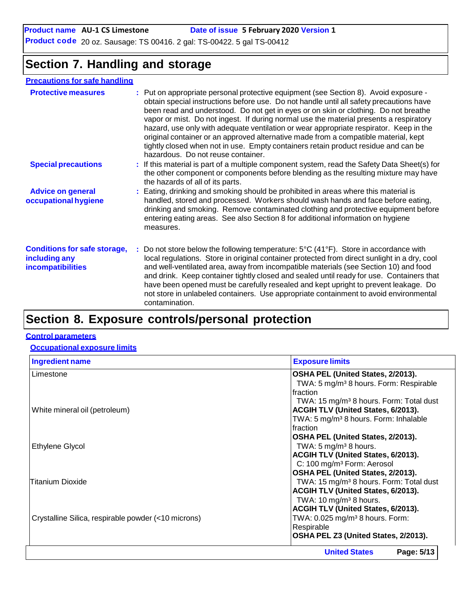#### **Product name** AU-1 CS Limestone **Date of issue** 5 February 2020 Version 1

**Product code** 20 oz. Sausage: TS 00416. 2 gal: TS-00422. 5 gal TS-00412

### **Section 7. Handling and storage**

### **Precautions for safe handling**

| <b>Protective measures</b>                                                       | : Put on appropriate personal protective equipment (see Section 8). Avoid exposure -<br>obtain special instructions before use. Do not handle until all safety precautions have<br>been read and understood. Do not get in eyes or on skin or clothing. Do not breathe<br>vapor or mist. Do not ingest. If during normal use the material presents a respiratory<br>hazard, use only with adequate ventilation or wear appropriate respirator. Keep in the<br>original container or an approved alternative made from a compatible material, kept<br>tightly closed when not in use. Empty containers retain product residue and can be<br>hazardous. Do not reuse container. |  |
|----------------------------------------------------------------------------------|-------------------------------------------------------------------------------------------------------------------------------------------------------------------------------------------------------------------------------------------------------------------------------------------------------------------------------------------------------------------------------------------------------------------------------------------------------------------------------------------------------------------------------------------------------------------------------------------------------------------------------------------------------------------------------|--|
| <b>Special precautions</b>                                                       | : If this material is part of a multiple component system, read the Safety Data Sheet(s) for<br>the other component or components before blending as the resulting mixture may have<br>the hazards of all of its parts.                                                                                                                                                                                                                                                                                                                                                                                                                                                       |  |
| <b>Advice on general</b><br>occupational hygiene                                 | : Eating, drinking and smoking should be prohibited in areas where this material is<br>handled, stored and processed. Workers should wash hands and face before eating,<br>drinking and smoking. Remove contaminated clothing and protective equipment before<br>entering eating areas. See also Section 8 for additional information on hygiene<br>measures.                                                                                                                                                                                                                                                                                                                 |  |
| <b>Conditions for safe storage,</b><br>including any<br><b>incompatibilities</b> | : Do not store below the following temperature: $5^{\circ}C(41^{\circ}F)$ . Store in accordance with<br>local regulations. Store in original container protected from direct sunlight in a dry, cool<br>and well-ventilated area, away from incompatible materials (see Section 10) and food<br>and drink. Keep container tightly closed and sealed until ready for use. Containers that<br>have been opened must be carefully resealed and kept upright to prevent leakage. Do<br>not store in unlabeled containers. Use appropriate containment to avoid environmental<br>contamination.                                                                                    |  |
|                                                                                  |                                                                                                                                                                                                                                                                                                                                                                                                                                                                                                                                                                                                                                                                               |  |

# **Section 8. Exposure controls/personal protection**

#### **Control parameters**

### **Occupational exposure limits**

| <b>Ingredient name</b>                              | <b>Exposure limits</b>                              |
|-----------------------------------------------------|-----------------------------------------------------|
| Limestone                                           | OSHA PEL (United States, 2/2013).                   |
|                                                     | TWA: 5 mg/m <sup>3</sup> 8 hours. Form: Respirable  |
|                                                     | Ifraction                                           |
|                                                     | TWA: 15 mg/m <sup>3</sup> 8 hours. Form: Total dust |
| White mineral oil (petroleum)                       | <b>ACGIH TLV (United States, 6/2013).</b>           |
|                                                     | TWA: 5 mg/m <sup>3</sup> 8 hours. Form: Inhalable   |
|                                                     | Ifraction                                           |
|                                                     | OSHA PEL (United States, 2/2013).                   |
| <b>Ethylene Glycol</b>                              | TWA: $5 \text{ mg/m}^3$ 8 hours.                    |
|                                                     | ACGIH TLV (United States, 6/2013).                  |
|                                                     | C: 100 mg/m <sup>3</sup> Form: Aerosol              |
|                                                     | OSHA PEL (United States, 2/2013).                   |
| Titanium Dioxide                                    | TWA: 15 mg/m <sup>3</sup> 8 hours. Form: Total dust |
|                                                     | ACGIH TLV (United States, 6/2013).                  |
|                                                     | TWA: $10 \text{ mg/m}^3$ 8 hours.                   |
|                                                     | ACGIH TLV (United States, 6/2013).                  |
| Crystalline Silica, respirable powder (<10 microns) | TWA: 0.025 mg/m <sup>3</sup> 8 hours. Form:         |
|                                                     | Respirable                                          |
|                                                     | OSHA PEL Z3 (United States, 2/2013).                |
|                                                     | Page: 5/13<br><b>United States</b>                  |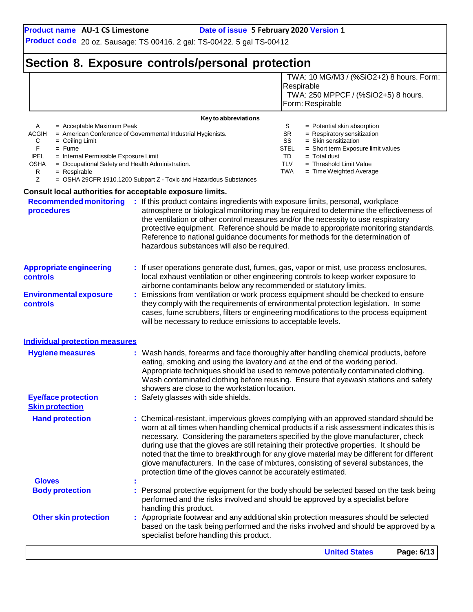TWA: 10 MG/M3 / (%SiO2+2) 8 hours. Form:

**Product code** 20 oz. Sausage: TS 00416. 2 gal: TS-00422. 5 gal TS-00412

# **Section 8. Exposure controls/personal protection**

|                                                                                                                                                                                                                                                                                                                                                                              |                                                                                                                                   | Respirable<br>TWA: 250 MPPCF / (%SiO2+5) 8 hours.<br>Form: Respirable                                                                                                                                                                                                                                                                                                                                                                                                                                                                                 |  |
|------------------------------------------------------------------------------------------------------------------------------------------------------------------------------------------------------------------------------------------------------------------------------------------------------------------------------------------------------------------------------|-----------------------------------------------------------------------------------------------------------------------------------|-------------------------------------------------------------------------------------------------------------------------------------------------------------------------------------------------------------------------------------------------------------------------------------------------------------------------------------------------------------------------------------------------------------------------------------------------------------------------------------------------------------------------------------------------------|--|
|                                                                                                                                                                                                                                                                                                                                                                              | Key to abbreviations                                                                                                              |                                                                                                                                                                                                                                                                                                                                                                                                                                                                                                                                                       |  |
| A<br>= Acceptable Maximum Peak<br>ACGIH<br>С<br>$=$ Ceiling Limit<br>F.<br>$=$ Fume<br><b>IPEL</b><br>= Internal Permissible Exposure Limit<br><b>OSHA</b><br>= Occupational Safety and Health Administration.<br>R<br>$=$ Respirable<br>Ζ                                                                                                                                   | = American Conference of Governmental Industrial Hygienists.<br>= OSHA 29CFR 1910.1200 Subpart Z - Toxic and Hazardous Substances | S<br>$=$ Potential skin absorption<br>SR<br>= Respiratory sensitization<br>SS<br>$=$ Skin sensitization<br>STEL<br>= Short term Exposure limit values<br>TD<br>$=$ Total dust<br><b>TLV</b><br>$=$ Threshold Limit Value<br><b>TWA</b><br>$=$ Time Weighted Average                                                                                                                                                                                                                                                                                   |  |
| Consult local authorities for acceptable exposure limits.                                                                                                                                                                                                                                                                                                                    |                                                                                                                                   |                                                                                                                                                                                                                                                                                                                                                                                                                                                                                                                                                       |  |
| <b>Recommended monitoring</b><br>procedures                                                                                                                                                                                                                                                                                                                                  | : If this product contains ingredients with exposure limits, personal, workplace<br>hazardous substances will also be required.   | atmosphere or biological monitoring may be required to determine the effectiveness of<br>the ventilation or other control measures and/or the necessity to use respiratory<br>protective equipment. Reference should be made to appropriate monitoring standards.<br>Reference to national guidance documents for methods for the determination of                                                                                                                                                                                                    |  |
| <b>Appropriate engineering</b><br>controls                                                                                                                                                                                                                                                                                                                                   | airborne contaminants below any recommended or statutory limits.                                                                  | : If user operations generate dust, fumes, gas, vapor or mist, use process enclosures,<br>local exhaust ventilation or other engineering controls to keep worker exposure to                                                                                                                                                                                                                                                                                                                                                                          |  |
| : Emissions from ventilation or work process equipment should be checked to ensure<br><b>Environmental exposure</b><br>they comply with the requirements of environmental protection legislation. In some<br>controls<br>cases, fume scrubbers, filters or engineering modifications to the process equipment<br>will be necessary to reduce emissions to acceptable levels. |                                                                                                                                   |                                                                                                                                                                                                                                                                                                                                                                                                                                                                                                                                                       |  |
| Individual protection measures                                                                                                                                                                                                                                                                                                                                               |                                                                                                                                   |                                                                                                                                                                                                                                                                                                                                                                                                                                                                                                                                                       |  |
| <b>Hygiene measures</b>                                                                                                                                                                                                                                                                                                                                                      | showers are close to the workstation location.                                                                                    | Wash hands, forearms and face thoroughly after handling chemical products, before<br>eating, smoking and using the lavatory and at the end of the working period.<br>Appropriate techniques should be used to remove potentially contaminated clothing.<br>Wash contaminated clothing before reusing. Ensure that eyewash stations and safety                                                                                                                                                                                                         |  |
| <b>Eye/face protection</b><br><b>Skin protection</b>                                                                                                                                                                                                                                                                                                                         | Safety glasses with side shields.                                                                                                 |                                                                                                                                                                                                                                                                                                                                                                                                                                                                                                                                                       |  |
| <b>Hand protection</b>                                                                                                                                                                                                                                                                                                                                                       | protection time of the gloves cannot be accurately estimated.                                                                     | : Chemical-resistant, impervious gloves complying with an approved standard should be<br>worn at all times when handling chemical products if a risk assessment indicates this is<br>necessary. Considering the parameters specified by the glove manufacturer, check<br>during use that the gloves are still retaining their protective properties. It should be<br>noted that the time to breakthrough for any glove material may be different for different<br>glove manufacturers. In the case of mixtures, consisting of several substances, the |  |
| <b>Gloves</b>                                                                                                                                                                                                                                                                                                                                                                |                                                                                                                                   |                                                                                                                                                                                                                                                                                                                                                                                                                                                                                                                                                       |  |
| <b>Body protection</b>                                                                                                                                                                                                                                                                                                                                                       | handling this product.                                                                                                            | Personal protective equipment for the body should be selected based on the task being<br>performed and the risks involved and should be approved by a specialist before                                                                                                                                                                                                                                                                                                                                                                               |  |
| <b>Other skin protection</b>                                                                                                                                                                                                                                                                                                                                                 | specialist before handling this product.                                                                                          | : Appropriate footwear and any additional skin protection measures should be selected<br>based on the task being performed and the risks involved and should be approved by a                                                                                                                                                                                                                                                                                                                                                                         |  |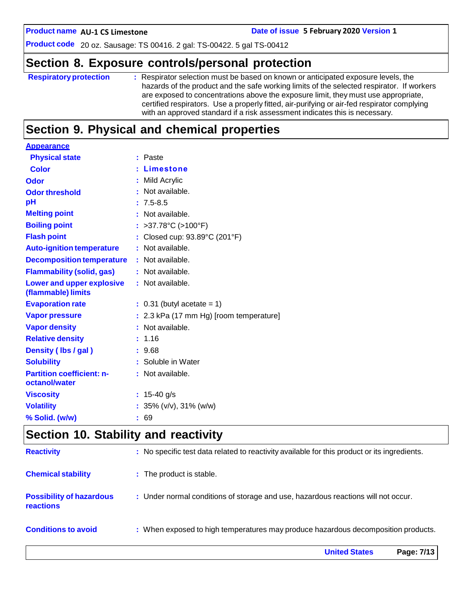**AU-1 CS Limestone Date of issue 5 February 2020 Version 1**

**Product code** 20 oz. Sausage: TS 00416. 2 gal: TS-00422. 5 gal TS-00412

### **Section 8. Exposure controls/personal protection**

| <b>Respiratory protection</b> | : Respirator selection must be based on known or anticipated exposure levels, the<br>hazards of the product and the safe working limits of the selected respirator. If workers<br>are exposed to concentrations above the exposure limit, they must use appropriate,<br>certified respirators. Use a properly fitted, air-purifying or air-fed respirator complying<br>with an approved standard if a risk assessment indicates this is necessary. |
|-------------------------------|----------------------------------------------------------------------------------------------------------------------------------------------------------------------------------------------------------------------------------------------------------------------------------------------------------------------------------------------------------------------------------------------------------------------------------------------------|
|                               |                                                                                                                                                                                                                                                                                                                                                                                                                                                    |

### **Section 9. Physical and chemical properties**

| <b>Appearance</b>                                 |                                         |
|---------------------------------------------------|-----------------------------------------|
| <b>Physical state</b>                             | : Paste                                 |
| <b>Color</b>                                      | : Limestone                             |
| Odor                                              | : Mild Acrylic                          |
| <b>Odor threshold</b>                             | : Not available.                        |
| рH                                                | $: 7.5 - 8.5$                           |
| <b>Melting point</b>                              | : Not available.                        |
| <b>Boiling point</b>                              | : >37.78°C (>100°F)                     |
| <b>Flash point</b>                                | : Closed cup: 93.89°C (201°F)           |
| <b>Auto-ignition temperature</b>                  | : Not available.                        |
| <b>Decomposition temperature</b>                  | : Not available.                        |
| <b>Flammability (solid, gas)</b>                  | : Not available.                        |
| Lower and upper explosive<br>(flammable) limits   | : Not available.                        |
| <b>Evaporation rate</b>                           | $\therefore$ 0.31 (butyl acetate = 1)   |
| <b>Vapor pressure</b>                             | : 2.3 kPa (17 mm Hg) [room temperature] |
| <b>Vapor density</b>                              | : Not available.                        |
| <b>Relative density</b>                           | : 1.16                                  |
| Density (Ibs / gal)                               | : 9.68                                  |
| <b>Solubility</b>                                 | : Soluble in Water                      |
| <b>Partition coefficient: n-</b><br>octanol/water | : Not available.                        |
| <b>Viscosity</b>                                  | : $15-40$ g/s                           |
|                                                   |                                         |
| <b>Volatility</b>                                 | : $35\%$ (v/v), $31\%$ (w/w)            |
| % Solid. (w/w)                                    | : 69                                    |

### **Section 10. Stability and reactivity**

|                                                     | <b>United States</b><br>Page: 7/13                                                           |
|-----------------------------------------------------|----------------------------------------------------------------------------------------------|
| <b>Conditions to avoid</b>                          | : When exposed to high temperatures may produce hazardous decomposition products.            |
| <b>Possibility of hazardous</b><br><b>reactions</b> | : Under normal conditions of storage and use, hazardous reactions will not occur.            |
| <b>Chemical stability</b>                           | : The product is stable.                                                                     |
| <b>Reactivity</b>                                   | : No specific test data related to reactivity available for this product or its ingredients. |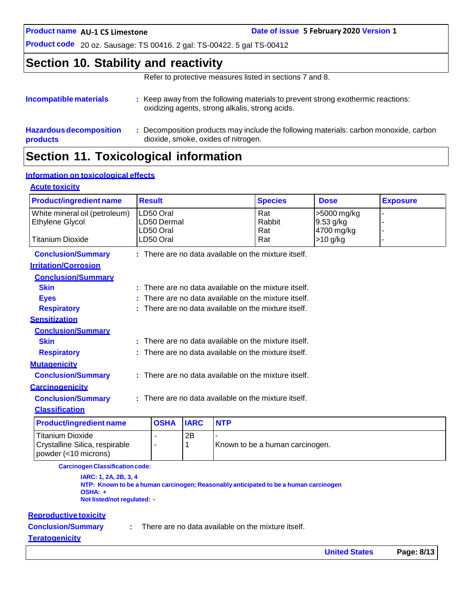**AU-1 CS Limestone Date of issue 5 February 2020 Version 1**

**Product code** 20 oz. Sausage: TS 00416. 2 gal: TS-00422. 5 gal TS-00412

### **Section 10. Stability and reactivity**

Refer to protective measures listed in sections 7 and 8.

| Incompatible materials                     | : Keep away from the following materials to prevent strong exothermic reactions:<br>oxidizing agents, strong alkalis, strong acids. |
|--------------------------------------------|-------------------------------------------------------------------------------------------------------------------------------------|
| <b>Hazardous decomposition</b><br>products | Decomposition products may include the following materials: carbon monoxide, carbon<br>dioxide, smoke, oxides of nitrogen.          |
|                                            |                                                                                                                                     |

# **Section 11. Toxicological information**

### **Information on toxicological effects**

#### **Acute toxicity**

| <b>Product/ingredient name</b>                          |                                                        | <b>Result</b>                                          |             |            | <b>Species</b>                                         | <b>Dose</b>              | <b>Exposure</b> |
|---------------------------------------------------------|--------------------------------------------------------|--------------------------------------------------------|-------------|------------|--------------------------------------------------------|--------------------------|-----------------|
| White mineral oil (petroleum)<br><b>Ethylene Glycol</b> |                                                        | LD50 Oral<br>LD50 Dermal                               |             |            | Rat<br>Rabbit                                          | >5000 mg/kg<br>9.53 g/kg |                 |
|                                                         |                                                        | LD50 Oral                                              |             |            | Rat                                                    | 4700 mg/kg               |                 |
| <b>Titanium Dioxide</b>                                 |                                                        | LD50 Oral                                              |             |            | Rat                                                    | $>10$ g/kg               | ۳               |
| <b>Conclusion/Summary</b>                               |                                                        |                                                        |             |            | $:$ There are no data available on the mixture itself. |                          |                 |
| <b>Irritation/Corrosion</b>                             |                                                        |                                                        |             |            |                                                        |                          |                 |
| <b>Conclusion/Summary</b>                               |                                                        |                                                        |             |            |                                                        |                          |                 |
| <b>Skin</b>                                             |                                                        |                                                        |             |            | : There are no data available on the mixture itself.   |                          |                 |
| <b>Eyes</b>                                             |                                                        |                                                        |             |            | There are no data available on the mixture itself.     |                          |                 |
| <b>Respiratory</b>                                      |                                                        |                                                        |             |            | There are no data available on the mixture itself.     |                          |                 |
| <b>Sensitization</b>                                    |                                                        |                                                        |             |            |                                                        |                          |                 |
| <b>Conclusion/Summary</b>                               |                                                        |                                                        |             |            |                                                        |                          |                 |
| <b>Skin</b>                                             |                                                        | There are no data available on the mixture itself.     |             |            |                                                        |                          |                 |
| <b>Respiratory</b>                                      |                                                        | $:$ There are no data available on the mixture itself. |             |            |                                                        |                          |                 |
| <b>Mutagenicity</b>                                     |                                                        |                                                        |             |            |                                                        |                          |                 |
| <b>Conclusion/Summary</b>                               | $:$ There are no data available on the mixture itself. |                                                        |             |            |                                                        |                          |                 |
| <b>Carcinogenicity</b>                                  |                                                        |                                                        |             |            |                                                        |                          |                 |
| <b>Conclusion/Summary</b>                               | $:$ There are no data available on the mixture itself. |                                                        |             |            |                                                        |                          |                 |
| <b>Classification</b>                                   |                                                        |                                                        |             |            |                                                        |                          |                 |
| <b>Product/ingredient name</b>                          |                                                        | <b>OSHA</b>                                            | <b>IARC</b> | <b>NTP</b> |                                                        |                          |                 |
| <b>Titanium Dioxide</b>                                 |                                                        |                                                        | 2B          |            |                                                        |                          |                 |
| Crystalline Silica, respirable                          | 1<br>Known to be a human carcinogen.<br>$\blacksquare$ |                                                        |             |            |                                                        |                          |                 |

**CarcinogenClassificationcode:**

**IARC: 1, 2A, 2B, 3, 4 NTP: Known to be a human carcinogen; Reasonably anticipated to be a human carcinogen OSHA: + Not listed/not regulated: -**

#### **Reproductive toxicity**

powder (<10 microns)

**Conclusion/Summary :**

There are no data available on the mixture itself.

#### **Teratogenicity**

| <b>United States</b> | Page: 8/13 |
|----------------------|------------|
|----------------------|------------|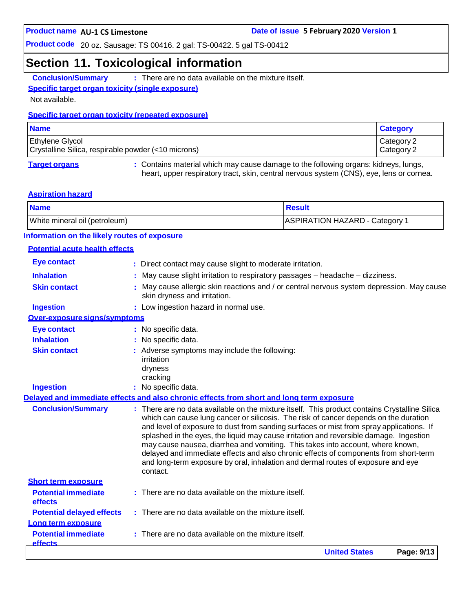### **Section 11. Toxicological information**

**Conclusion/Summary :** There are no data available on the mixture itself.

### **Specific target organ toxicity (single exposure)**

Not available.

#### **Specific target organ toxicity (repeated exposure)**

| <b>Name</b>                                                                   | <b>Category</b>          |
|-------------------------------------------------------------------------------|--------------------------|
| <b>Ethylene Glycol</b><br>Crystalline Silica, respirable powder (<10 microns) | Category 2<br>Category 2 |
|                                                                               |                          |

**Target organs :** Contains material which may cause damage to the following organs: kidneys, lungs, heart, upper respiratory tract, skin, central nervous system (CNS), eye, lens or cornea.

#### **Aspiration hazard**

| <b>Name</b>                   | <b>Result</b>                  |
|-------------------------------|--------------------------------|
| White mineral oil (petroleum) | ASPIRATION HAZARD - Category 1 |

#### **Information on the likely routes of exposure**

#### **Potential acute health effects**

|                                              | <b>United States</b><br>Page: 9/13                                                                                                                                                                                                                                                                                                                                         |
|----------------------------------------------|----------------------------------------------------------------------------------------------------------------------------------------------------------------------------------------------------------------------------------------------------------------------------------------------------------------------------------------------------------------------------|
| <b>Potential immediate</b><br><b>effects</b> | There are no data available on the mixture itself.                                                                                                                                                                                                                                                                                                                         |
| Long term exposure                           |                                                                                                                                                                                                                                                                                                                                                                            |
| <b>Potential delayed effects</b>             | : There are no data available on the mixture itself.                                                                                                                                                                                                                                                                                                                       |
| effects                                      |                                                                                                                                                                                                                                                                                                                                                                            |
| <b>Potential immediate</b>                   | $:$ There are no data available on the mixture itself.                                                                                                                                                                                                                                                                                                                     |
| <b>Short term exposure</b>                   | may cause nausea, diarrhea and vomiting. This takes into account, where known,<br>delayed and immediate effects and also chronic effects of components from short-term<br>and long-term exposure by oral, inhalation and dermal routes of exposure and eye<br>contact.                                                                                                     |
| <b>Conclusion/Summary</b>                    | : There are no data available on the mixture itself. This product contains Crystalline Silica<br>which can cause lung cancer or silicosis. The risk of cancer depends on the duration<br>and level of exposure to dust from sanding surfaces or mist from spray applications. If<br>splashed in the eyes, the liquid may cause irritation and reversible damage. Ingestion |
|                                              | Delaved and immediate effects and also chronic effects from short and long term exposure                                                                                                                                                                                                                                                                                   |
| <b>Ingestion</b>                             | : No specific data.                                                                                                                                                                                                                                                                                                                                                        |
|                                              | dryness<br>cracking                                                                                                                                                                                                                                                                                                                                                        |
| <b>Skin contact</b>                          | : Adverse symptoms may include the following:<br>irritation                                                                                                                                                                                                                                                                                                                |
| <b>Inhalation</b>                            | No specific data.                                                                                                                                                                                                                                                                                                                                                          |
| <b>Eye contact</b>                           | : No specific data.                                                                                                                                                                                                                                                                                                                                                        |
| Over-exposure signs/symptoms                 |                                                                                                                                                                                                                                                                                                                                                                            |
| <b>Ingestion</b>                             | : Low ingestion hazard in normal use.                                                                                                                                                                                                                                                                                                                                      |
| <b>Skin contact</b>                          | May cause allergic skin reactions and / or central nervous system depression. May cause<br>skin dryness and irritation.                                                                                                                                                                                                                                                    |
| <b>Inhalation</b>                            | May cause slight irritation to respiratory passages - headache - dizziness.                                                                                                                                                                                                                                                                                                |
| <b>Eye contact</b>                           | : Direct contact may cause slight to moderate irritation.                                                                                                                                                                                                                                                                                                                  |
|                                              |                                                                                                                                                                                                                                                                                                                                                                            |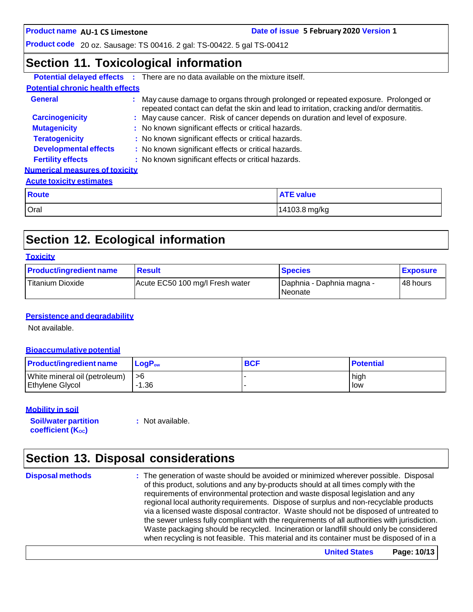**AU-1 CS Limestone Date of issue 5 February 2020 Version 1**

**Product code** 20 oz. Sausage: TS 00416. 2 gal: TS-00422. 5 gal TS-00412

### **Section 11. Toxicological information**

|                                         |               | <b>Potential delayed effects :</b> There are no data available on the mixture itself.                                                                                        |                                                                               |  |  |
|-----------------------------------------|---------------|------------------------------------------------------------------------------------------------------------------------------------------------------------------------------|-------------------------------------------------------------------------------|--|--|
| <b>Potential chronic health effects</b> |               |                                                                                                                                                                              |                                                                               |  |  |
| <b>General</b>                          |               | : May cause damage to organs through prolonged or repeated exposure. Prolonged or<br>repeated contact can defat the skin and lead to irritation, cracking and/or dermatitis. |                                                                               |  |  |
| <b>Carcinogenicity</b>                  |               |                                                                                                                                                                              | : May cause cancer. Risk of cancer depends on duration and level of exposure. |  |  |
| <b>Mutagenicity</b>                     |               |                                                                                                                                                                              | : No known significant effects or critical hazards.                           |  |  |
| <b>Teratogenicity</b>                   |               | : No known significant effects or critical hazards.                                                                                                                          |                                                                               |  |  |
| <b>Developmental effects</b>            |               | : No known significant effects or critical hazards.                                                                                                                          |                                                                               |  |  |
| <b>Fertility effects</b>                |               | : No known significant effects or critical hazards.                                                                                                                          |                                                                               |  |  |
| <b>Numerical measures of toxicity</b>   |               |                                                                                                                                                                              |                                                                               |  |  |
| <b>Acute toxicity estimates</b>         |               |                                                                                                                                                                              |                                                                               |  |  |
| <b>Route</b>                            |               |                                                                                                                                                                              | <b>ATE value</b>                                                              |  |  |
| Oral                                    | 14103.8 mg/kg |                                                                                                                                                                              |                                                                               |  |  |

# **Section 12. Ecological information**

| <b>Product/ingredient name</b> | <b>Result</b>                   | <b>Species</b>                           | <b>Exposure</b> |
|--------------------------------|---------------------------------|------------------------------------------|-----------------|
| Titanium Dioxide               | Acute EC50 100 mg/l Fresh water | I Daphnia - Daphnia magna -<br>l Neonate | 48 hours        |

### **Persistence and degradability**

Not available.

#### **Bioaccumulative potential**

| <b>Product/ingredient name</b> | $\mathsf{LogP}_\mathsf{ow}$ | <b>BCF</b> | <b>Potential</b> |
|--------------------------------|-----------------------------|------------|------------------|
| White mineral oil (petroleum)  | ∣ >6                        |            | high             |
| <b>Ethylene Glycol</b>         | $-1.36$                     |            | low              |

#### **Mobility in soil**

**Soil/water partition coefficient** (K<sub>oc</sub>)

**:** Not available.

### **Section 13. Disposal considerations**

**Disposal methods :** The generation of waste should be avoided or minimized wherever possible. Disposal of this product, solutions and any by-products should at all times comply with the requirements of environmental protection and waste disposal legislation and any regional local authority requirements. Dispose of surplus and non-recyclable products via a licensed waste disposal contractor. Waste should not be disposed of untreated to the sewer unless fully compliant with the requirements of all authorities with jurisdiction. Waste packaging should be recycled. Incineration or landfill should only be considered when recycling is not feasible. This material and its container must be disposed of in a

**United States Page: 10/13**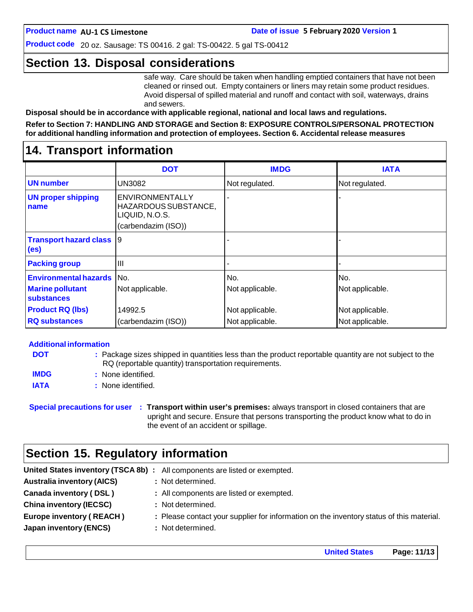**Product code** 20 oz. Sausage: TS 00416. 2 gal: TS-00422. 5 gal TS-00412

### **Section 13. Disposal considerations**

safe way. Care should be taken when handling emptied containers that have not been cleaned or rinsed out. Empty containers or liners may retain some product residues. Avoid dispersal of spilled material and runoff and contact with soil, waterways, drains and sewers.

**Disposal should be in accordance with applicable regional, national and local laws and regulations.**

**Refer to Section 7: HANDLING AND STORAGE and Section 8: EXPOSURE CONTROLS/PERSONAL PROTECTION for additional handling information and protection of employees. Section 6. Accidental release measures**

### **14. Transport information**

|                                                      | <b>DOT</b>                                                                       | <b>IMDG</b>     | <b>IATA</b>     |
|------------------------------------------------------|----------------------------------------------------------------------------------|-----------------|-----------------|
| <b>UN number</b>                                     | <b>UN3082</b>                                                                    | Not regulated.  | Not regulated.  |
| <b>UN proper shipping</b><br>name                    | ENVIRONMENTALLY<br>HAZARDOUS SUBSTANCE,<br>LIQUID, N.O.S.<br>(carbendazim (ISO)) |                 |                 |
| <b>Transport hazard class</b> 9<br>(e <sub>s</sub> ) |                                                                                  |                 |                 |
| <b>Packing group</b>                                 | III                                                                              |                 |                 |
| <b>Environmental hazards</b> No.                     |                                                                                  | No.             | No.             |
| <b>Marine pollutant</b><br>substances                | Not applicable.                                                                  | Not applicable. | Not applicable. |
| <b>Product RQ (lbs)</b>                              | 14992.5                                                                          | Not applicable. | Not applicable. |
| <b>RQ substances</b>                                 | (carbendazim (ISO))                                                              | Not applicable. | Not applicable. |

#### **Additional information**

| <b>DOT</b>  | : Package sizes shipped in quantities less than the product reportable quantity are not subject to the |
|-------------|--------------------------------------------------------------------------------------------------------|
|             | RQ (reportable quantity) transportation requirements.                                                  |
| <b>IMDG</b> | : None identified.                                                                                     |
| <b>IATA</b> | : None identified.                                                                                     |

**Special precautions for user : Transport within user's premises:** always transport in closed containers that are upright and secure. Ensure that persons transporting the product know what to do in the event of an accident or spillage.

### **Section 15. Regulatory information**

| <b>Australia inventory (AICS)</b><br>: Not determined.                                                                      |  |
|-----------------------------------------------------------------------------------------------------------------------------|--|
| Canada inventory (DSL)<br>: All components are listed or exempted.                                                          |  |
| <b>China inventory (IECSC)</b><br>: Not determined.                                                                         |  |
| <b>Europe inventory (REACH)</b><br>: Please contact your supplier for information on the inventory status of this material. |  |
| <b>Japan inventory (ENCS)</b><br>: Not determined.                                                                          |  |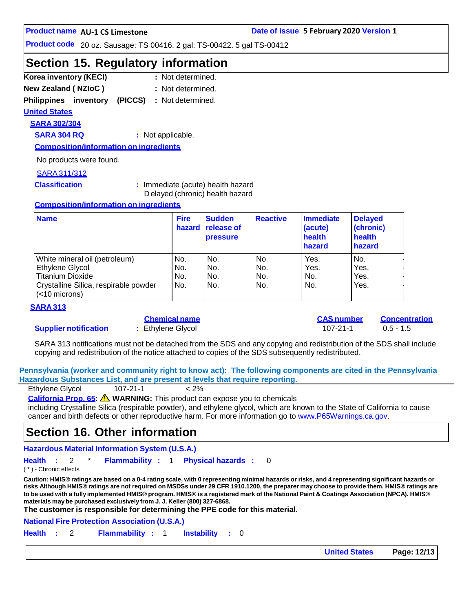#### **AU-1 CS Limestone Date of issue 5 February 2020 Version 1**

**Product code** 20 oz. Sausage: TS 00416. 2 gal: TS-00422. 5 gal TS-00412

### **Section 15. Regulatory information**

| Korea inventory (KECI)     |  | : Not determined. |
|----------------------------|--|-------------------|
| <b>New Zealand (NZIoC)</b> |  | : Not determined. |

**Philippines inventory (PICCS) :** Not determined.

**United States**

### **SARA 302/304**

**SARA 304 RQ :** Not applicable.

**Composition/information on ingredients**

No products were found.

#### SARA311/312

**Classification :** Immediate (acute) health hazard D elayed (chronic) health hazard

#### **Composition/information on ingredients**

| <b>Name</b>                                               | <b>Fire</b><br>hazard | <b>Sudden</b><br><b>release of</b><br><b>pressure</b> | <b>Reactive</b> | Immediate<br>(acute)<br>health<br>hazard | <b>Delayed</b><br>(chronic)<br>health<br>hazard |
|-----------------------------------------------------------|-----------------------|-------------------------------------------------------|-----------------|------------------------------------------|-------------------------------------------------|
| White mineral oil (petroleum)                             | No.                   | No.                                                   | No.             | Yes.                                     | No.                                             |
| Ethylene Glycol                                           | No.                   | No.                                                   | No.             | Yes.                                     | Yes.                                            |
| <b>Titanium Dioxide</b>                                   | No.                   | No.                                                   | No.             | No.                                      | Yes.                                            |
| Crystalline Silica, respirable powder<br>$(<$ 10 microns) | No.                   | No.                                                   | No.             | No.                                      | Yes.                                            |

#### **SARA 313**

### **Supplier notification : Ethylene Glycol** 107-21-1 0.5 - 1.5

|  | <u>Chemical name</u> |  |
|--|----------------------|--|
|  | Ethylene Glycol      |  |

**Chemical name CAS number Concentration**

SARA 313 notifications must not be detached from the SDS and any copying and redistribution of the SDS shall include copying and redistribution of the notice attached to copies of the SDS subsequently redistributed.

**Pennsylvania (worker and community right to know act): The following components are cited in the Pennsylvania Hazardous Substances List, and are present at levels that require reporting.**

| Ethylene Glycol | $107 - 21 - 1$ | $< 2\%$ |
|-----------------|----------------|---------|
|                 |                |         |

**California Prop. 65**: **WARNING:** This product can expose you to chemicals

including Crystalline Silica (respirable powder), and ethylene glycol, which are known to the State of California to cause cancer and birth defects or other reproductive harm. For more information go to [www.P65Warnings.ca.gov.](http://www.p65warnings.ca.gov/)

### **Section 16. Other information**

**Hazardous Material Information System (U.S.A.)**

**Health :** 2 \* **Flammability :** 1 **Physical hazards :** 0

( \* ) - Chronic effects

Caution: HMIS® ratings are based on a 0-4 rating scale, with 0 representing minimal hazards or risks, and 4 representing significant hazards or risks Although HMIS® ratings are not required on MSDSs under 29 CFR 1910.1200, the preparer may choose to provide them. HMIS® ratings are to be used with a fully implemented HMIS® program. HMIS® is a registered mark of the National Paint & Coatings Association (NPCA). HMIS® **materials maybe purchased exclusively from J. J. Keller (800) 327-6868.**

**The customer is responsible for determining the PPE code for this material.**

**National Fire Protection Association (U.S.A.)**

**Health :** 2 **Flammability :** 1 **Instability :** 0

**United States Page: 12/13**